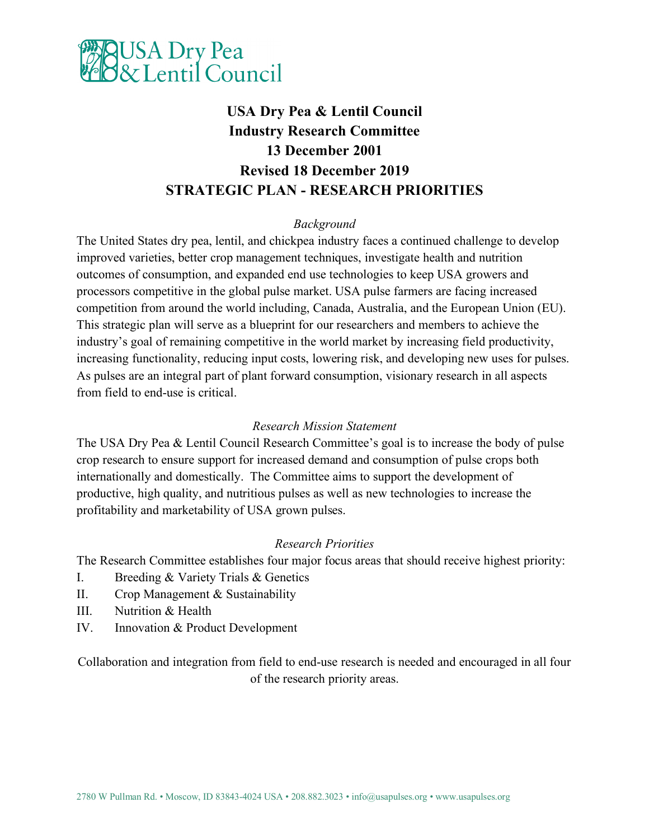

# **USA Dry Pea & Lentil Council Industry Research Committee 13 December 2001 Revised 18 December 2019 STRATEGIC PLAN - RESEARCH PRIORITIES**

# *Background*

The United States dry pea, lentil, and chickpea industry faces a continued challenge to develop improved varieties, better crop management techniques, investigate health and nutrition outcomes of consumption, and expanded end use technologies to keep USA growers and processors competitive in the global pulse market. USA pulse farmers are facing increased competition from around the world including, Canada, Australia, and the European Union (EU). This strategic plan will serve as a blueprint for our researchers and members to achieve the industry's goal of remaining competitive in the world market by increasing field productivity, increasing functionality, reducing input costs, lowering risk, and developing new uses for pulses. As pulses are an integral part of plant forward consumption, visionary research in all aspects from field to end-use is critical.

# *Research Mission Statement*

The USA Dry Pea & Lentil Council Research Committee's goal is to increase the body of pulse crop research to ensure support for increased demand and consumption of pulse crops both internationally and domestically. The Committee aims to support the development of productive, high quality, and nutritious pulses as well as new technologies to increase the profitability and marketability of USA grown pulses.

# *Research Priorities*

The Research Committee establishes four major focus areas that should receive highest priority:

- I. Breeding & Variety Trials & Genetics
- II. Crop Management & Sustainability
- III. Nutrition & Health
- IV. Innovation & Product Development

Collaboration and integration from field to end-use research is needed and encouraged in all four of the research priority areas.